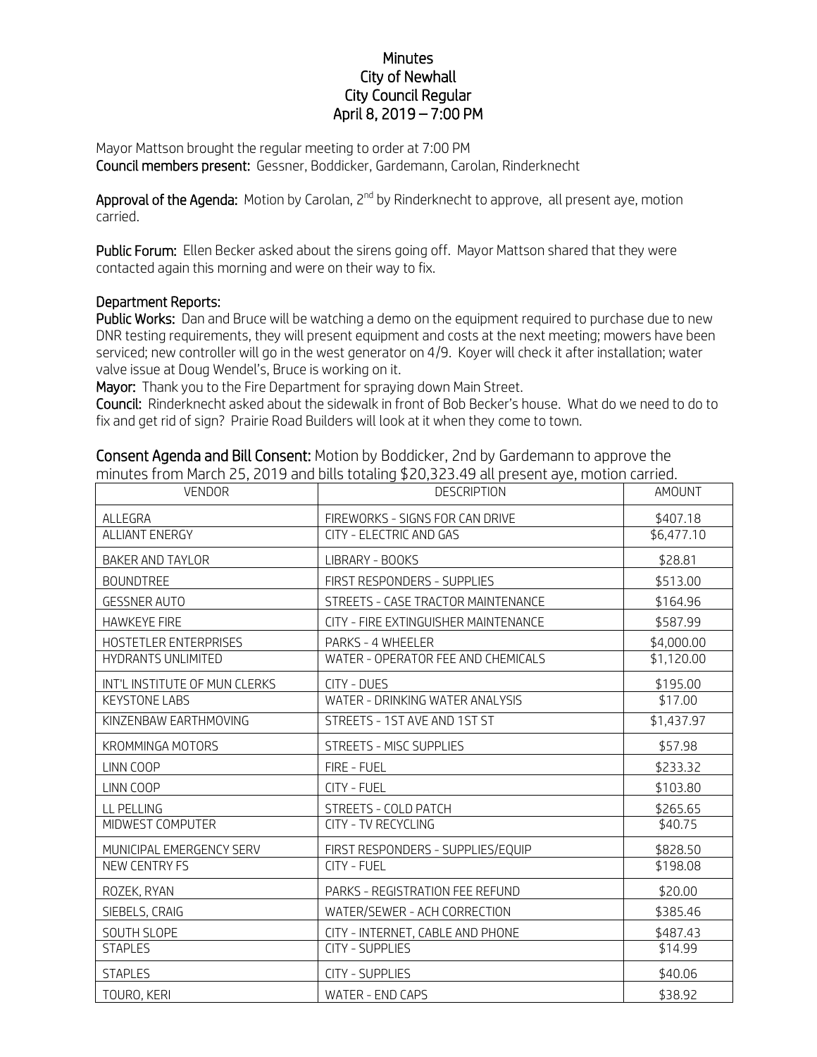## **Minutes** City of Newhall City Council Regular April 8, 2019 – 7:00 PM

Mayor Mattson brought the regular meeting to order at 7:00 PM Council members present: Gessner, Boddicker, Gardemann, Carolan, Rinderknecht

Approval of the Agenda: Motion by Carolan, 2<sup>nd</sup> by Rinderknecht to approve, all present aye, motion carried.

Public Forum: Ellen Becker asked about the sirens going off. Mayor Mattson shared that they were contacted again this morning and were on their way to fix.

## Department Reports:

Public Works: Dan and Bruce will be watching a demo on the equipment required to purchase due to new DNR testing requirements, they will present equipment and costs at the next meeting; mowers have been serviced; new controller will go in the west generator on 4/9. Koyer will check it after installation; water valve issue at Doug Wendel's, Bruce is working on it.

Mayor: Thank you to the Fire Department for spraying down Main Street.

Council: Rinderknecht asked about the sidewalk in front of Bob Becker's house. What do we need to do to fix and get rid of sign? Prairie Road Builders will look at it when they come to town.

| <b>VENDOR</b>                 | ו וויווסנכט וויסווח ויומרטו בט, בס רט מחס מונט נסנסוווק p-o,טבט. דט מגרף כטכות ayc, וווסמסו כמודוכס.<br><b>DESCRIPTION</b> | AMOUNT     |
|-------------------------------|----------------------------------------------------------------------------------------------------------------------------|------------|
| ALLEGRA                       | FIREWORKS - SIGNS FOR CAN DRIVE                                                                                            | \$407.18   |
| ALLIANT ENERGY                | CITY - ELECTRIC AND GAS                                                                                                    | \$6,477.10 |
| BAKER AND TAYLOR              | LIBRARY - BOOKS                                                                                                            | \$28.81    |
| <b>BOUNDTREE</b>              | FIRST RESPONDERS - SUPPLIES                                                                                                | \$513.00   |
| <b>GESSNER AUTO</b>           | STREETS - CASE TRACTOR MAINTENANCE                                                                                         | \$164.96   |
| <b>HAWKEYE FIRE</b>           | CITY - FIRE EXTINGUISHER MAINTENANCE                                                                                       | \$587.99   |
| HOSTETLER ENTERPRISES         | PARKS - 4 WHEELER                                                                                                          | \$4,000.00 |
| HYDRANTS UNLIMITED            | WATER - OPERATOR FEE AND CHEMICALS                                                                                         | \$1,120.00 |
| INT'L INSTITUTE OF MUN CLERKS | CITY - DUES                                                                                                                | \$195.00   |
| <b>KEYSTONE LABS</b>          | WATER - DRINKING WATER ANALYSIS                                                                                            | \$17.00    |
| KINZENBAW EARTHMOVING         | STREETS - 1ST AVE AND 1ST ST                                                                                               | \$1,437.97 |
| KROMMINGA MOTORS              | STREETS - MISC SUPPLIES                                                                                                    | \$57.98    |
| LINN COOP                     | FIRE - FUEL                                                                                                                | \$233.32   |
| LINN COOP                     | CITY - FUEL                                                                                                                | \$103.80   |
| LL PELLING                    | STREETS - COLD PATCH                                                                                                       | \$265.65   |
| MIDWEST COMPUTER              | <b>CITY - TV RECYCLING</b>                                                                                                 | \$40.75    |
| MUNICIPAL EMERGENCY SERV      | FIRST RESPONDERS - SUPPLIES/EQUIP                                                                                          | \$828.50   |
| <b>NEW CENTRY FS</b>          | CITY - FUEL                                                                                                                | \$198.08   |
| ROZEK, RYAN                   | PARKS - REGISTRATION FEE REFUND                                                                                            | \$20.00    |
| SIEBELS, CRAIG                | WATER/SEWER - ACH CORRECTION                                                                                               | \$385.46   |
| SOUTH SLOPE                   | CITY - INTERNET, CABLE AND PHONE                                                                                           | \$487.43   |
| <b>STAPLES</b>                | <b>CITY - SUPPLIES</b>                                                                                                     | \$14.99    |
| <b>STAPLES</b>                | <b>CITY - SUPPLIES</b>                                                                                                     | \$40.06    |
| TOURO, KERI                   | WATER - END CAPS                                                                                                           | \$38.92    |

Consent Agenda and Bill Consent: Motion by Boddicker, 2nd by Gardemann to approve the minutes from March 25, 2019 and bills totaling \$20,323.49 all present aye, motion carried.